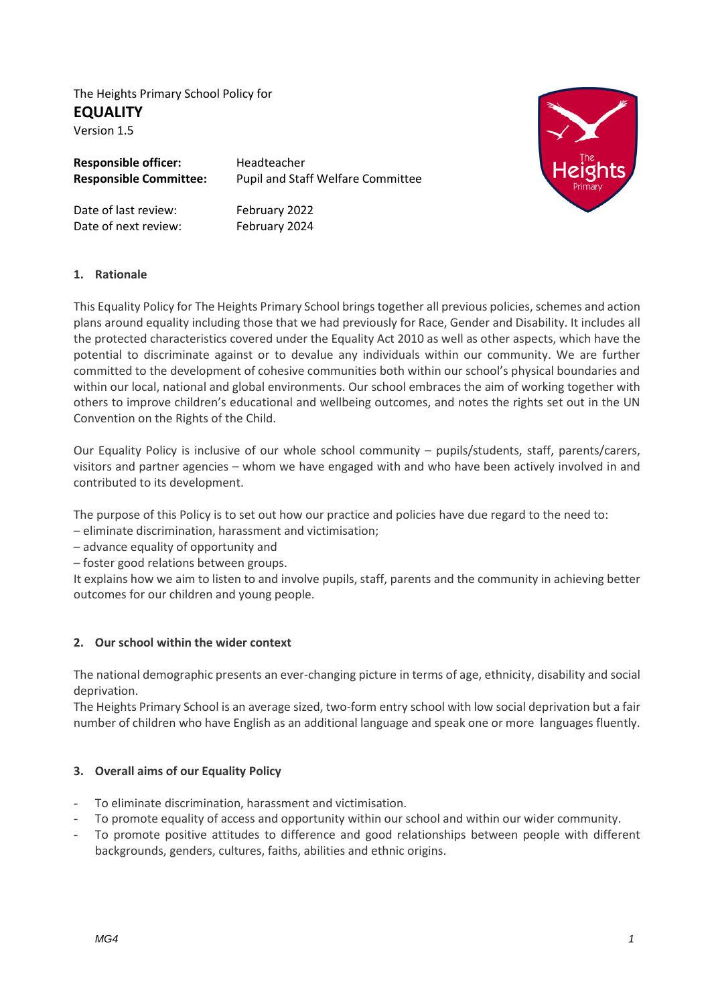The Heights Primary School Policy for **EQUALITY** Version 1.5

| <b>Responsible officer:</b>   | Headteacher                              |
|-------------------------------|------------------------------------------|
| <b>Responsible Committee:</b> | <b>Pupil and Staff Welfare Committee</b> |
| Date of last review:          | February 2022                            |
| Date of next review:          | February 2024                            |



### **1. Rationale**

This Equality Policy for The Heights Primary School brings together all previous policies, schemes and action plans around equality including those that we had previously for Race, Gender and Disability. It includes all the protected characteristics covered under the Equality Act 2010 as well as other aspects, which have the potential to discriminate against or to devalue any individuals within our community. We are further committed to the development of cohesive communities both within our school's physical boundaries and within our local, national and global environments. Our school embraces the aim of working together with others to improve children's educational and wellbeing outcomes, and notes the rights set out in the UN Convention on the Rights of the Child.

Our Equality Policy is inclusive of our whole school community – pupils/students, staff, parents/carers, visitors and partner agencies – whom we have engaged with and who have been actively involved in and contributed to its development.

The purpose of this Policy is to set out how our practice and policies have due regard to the need to:

- eliminate discrimination, harassment and victimisation;
- advance equality of opportunity and
- foster good relations between groups.

It explains how we aim to listen to and involve pupils, staff, parents and the community in achieving better outcomes for our children and young people.

### **2. Our school within the wider context**

The national demographic presents an ever-changing picture in terms of age, ethnicity, disability and social deprivation.

The Heights Primary School is an average sized, two-form entry school with low social deprivation but a fair number of children who have English as an additional language and speak one or more languages fluently.

# **3. Overall aims of our Equality Policy**

- To eliminate discrimination, harassment and victimisation.
- To promote equality of access and opportunity within our school and within our wider community.
- To promote positive attitudes to difference and good relationships between people with different backgrounds, genders, cultures, faiths, abilities and ethnic origins.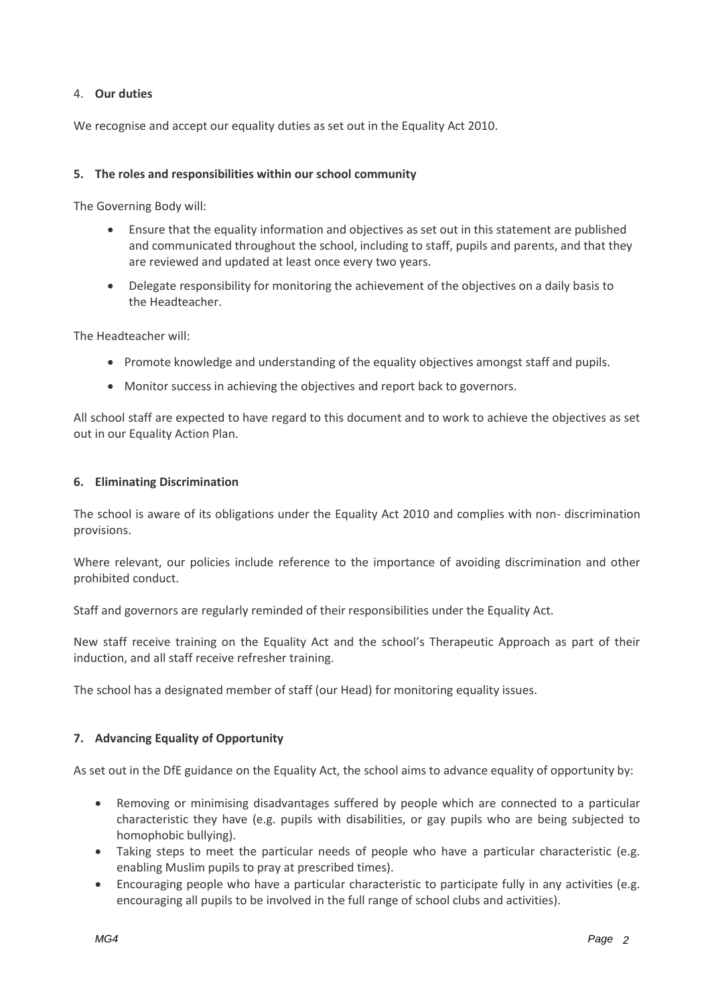### 4. **Our duties**

We recognise and accept our equality duties as set out in the Equality Act 2010.

### **5. The roles and responsibilities within our school community**

The Governing Body will:

- Ensure that the equality information and objectives as set out in this statement are published and communicated throughout the school, including to staff, pupils and parents, and that they are reviewed and updated at least once every two years.
- Delegate responsibility for monitoring the achievement of the objectives on a daily basis to the Headteacher.

The Headteacher will:

- Promote knowledge and understanding of the equality objectives amongst staff and pupils.
- Monitor success in achieving the objectives and report back to governors.

All school staff are expected to have regard to this document and to work to achieve the objectives as set out in our Equality Action Plan.

### **6. Eliminating Discrimination**

The school is aware of its obligations under the Equality Act 2010 and complies with non- discrimination provisions.

Where relevant, our policies include reference to the importance of avoiding discrimination and other prohibited conduct.

Staff and governors are regularly reminded of their responsibilities under the Equality Act.

New staff receive training on the Equality Act and the school's Therapeutic Approach as part of their induction, and all staff receive refresher training.

The school has a designated member of staff (our Head) for monitoring equality issues.

### **7. Advancing Equality of Opportunity**

As set out in the DfE guidance on the Equality Act, the school aims to advance equality of opportunity by:

- Removing or minimising disadvantages suffered by people which are connected to a particular characteristic they have (e.g. pupils with disabilities, or gay pupils who are being subjected to homophobic bullying).
- Taking steps to meet the particular needs of people who have a particular characteristic (e.g. enabling Muslim pupils to pray at prescribed times).
- Encouraging people who have a particular characteristic to participate fully in any activities (e.g. encouraging all pupils to be involved in the full range of school clubs and activities).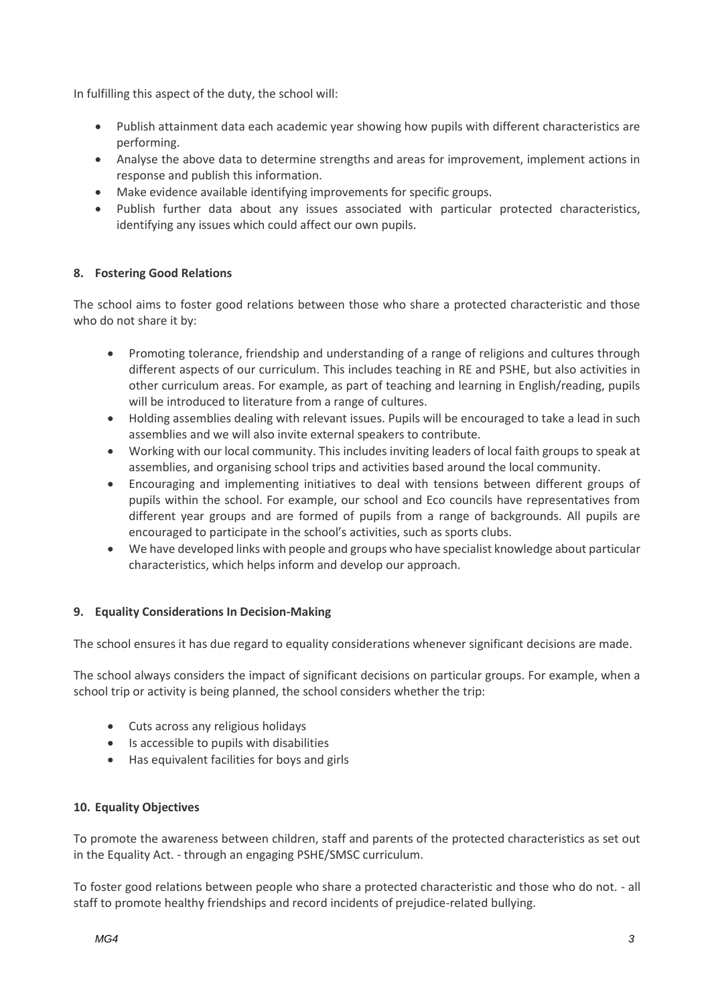In fulfilling this aspect of the duty, the school will:

- Publish attainment data each academic year showing how pupils with different characteristics are performing.
- Analyse the above data to determine strengths and areas for improvement, implement actions in response and publish this information.
- Make evidence available identifying improvements for specific groups.
- Publish further data about any issues associated with particular protected characteristics, identifying any issues which could affect our own pupils.

# **8. Fostering Good Relations**

The school aims to foster good relations between those who share a protected characteristic and those who do not share it by:

- Promoting tolerance, friendship and understanding of a range of religions and cultures through different aspects of our curriculum. This includes teaching in RE and PSHE, but also activities in other curriculum areas. For example, as part of teaching and learning in English/reading, pupils will be introduced to literature from a range of cultures.
- Holding assemblies dealing with relevant issues. Pupils will be encouraged to take a lead in such assemblies and we will also invite external speakers to contribute.
- Working with our local community. This includes inviting leaders of local faith groups to speak at assemblies, and organising school trips and activities based around the local community.
- Encouraging and implementing initiatives to deal with tensions between different groups of pupils within the school. For example, our school and Eco councils have representatives from different year groups and are formed of pupils from a range of backgrounds. All pupils are encouraged to participate in the school's activities, such as sports clubs.
- We have developed links with people and groups who have specialist knowledge about particular characteristics, which helps inform and develop our approach.

# **9. Equality Considerations In Decision-Making**

The school ensures it has due regard to equality considerations whenever significant decisions are made.

The school always considers the impact of significant decisions on particular groups. For example, when a school trip or activity is being planned, the school considers whether the trip:

- Cuts across any religious holidays
- Is accessible to pupils with disabilities
- Has equivalent facilities for boys and girls

# **10. Equality Objectives**

To promote the awareness between children, staff and parents of the protected characteristics as set out in the Equality Act. - through an engaging PSHE/SMSC curriculum.

To foster good relations between people who share a protected characteristic and those who do not. - all staff to promote healthy friendships and record incidents of prejudice-related bullying.